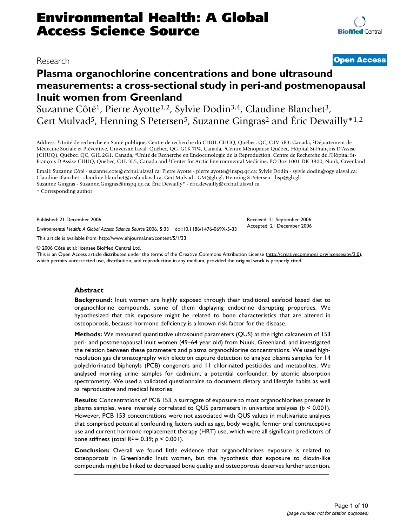# **Plasma organochlorine concentrations and bone ultrasound measurements: a cross-sectional study in peri-and postmenopausal Inuit women from Greenland**

Suzanne Côté<sup>1</sup>, Pierre Ayotte<sup>1,2</sup>, Sylvie Dodin<sup>3,4</sup>, Claudine Blanchet<sup>3</sup>, Gert Mulvad<sup>5</sup>, Henning S Petersen<sup>5</sup>, Suzanne Gingras<sup>2</sup> and Éric Dewailly<sup>\*1,2</sup>

Address: 1Unité de recherche en Santé publique, Centre de recherche du CHUL-CHUQ, Québec, QC, G1V 5B3, Canada, 2Département de Médecine Sociale et Préventive, Université Laval, Québec, QC, G1K 7P4, Canada, 3Centre Ménopause Québec, Hôpital St-François D'Assise (CHUQ), Québec, QC, G1L 2G1, Canada, 4Unité de Recherche en Endocrinologie de la Reproduction, Centre de Recherche de l'Hôpital St-François D'Assise-CHUQ, Québec, G1L 3L5, Canada and 5Center for Arctic Environmental Medicine, PO Box 1001 DK-3900, Nuuk, Greenland

Email: Suzanne Côté - suzanne.cote@crchul.ulaval.ca; Pierre Ayotte - pierre.ayotte@inspq.qc.ca; Sylvie Dodin - sylvie.dodin@ogy.ulaval.ca; Claudine Blanchet - claudine.blanchet@crsfa.ulaval.ca; Gert Mulvad - GM@gh.gl; Henning S Petersen - hsp@gh.gl; Suzanne Gingras - Suzanne.Gingras@inspq.qc.ca; Éric Dewailly\* - eric.dewailly@crchul.ulaval.ca

\* Corresponding author

Published: 21 December 2006

*Environmental Health: A Global Access Science Source* 2006, **5**:33 doi:10.1186/1476-069X-5-33

[This article is available from: http://www.ehjournal.net/content/5/1/33](http://www.ehjournal.net/content/5/1/33)

© 2006 Côté et al; licensee BioMed Central Ltd.

This is an Open Access article distributed under the terms of the Creative Commons Attribution License [\(http://creativecommons.org/licenses/by/2.0\)](http://creativecommons.org/licenses/by/2.0), which permits unrestricted use, distribution, and reproduction in any medium, provided the original work is properly cited.

## **Abstract**

**Background:** Inuit women are highly exposed through their traditional seafood based diet to organochlorine compounds, some of them displaying endocrine disrupting properties. We hypothesized that this exposure might be related to bone characteristics that are altered in osteoporosis, because hormone deficiency is a known risk factor for the disease.

**Methods:** We measured quantitative ultrasound parameters (QUS) at the right calcaneum of 153 peri- and postmenopausal Inuit women (49–64 year old) from Nuuk, Greenland, and investigated the relation between these parameters and plasma organochlorine concentrations. We used highresolution gas chromatography with electron capture detection to analyze plasma samples for 14 polychlorinated biphenyls (PCB) congeners and 11 chlorinated pesticides and metabolites. We analysed morning urine samples for cadmium, a potential confounder, by atomic absorption spectrometry. We used a validated questionnaire to document dietary and lifestyle habits as well as reproductive and medical histories.

**Results:** Concentrations of PCB 153, a surrogate of exposure to most organochlorines present in plasma samples, were inversely correlated to QUS parameters in univariate analyses (*p* < 0.001). However, PCB 153 concentrations were not associated with QUS values in multivariate analyses that comprised potential confounding factors such as age, body weight, former oral contraceptive use and current hormone replacement therapy (HRT) use, which were all significant predictors of bone stiffness (total R2 = 0.39; *p* < 0.001).

**Conclusion:** Overall we found little evidence that organochlorines exposure is related to osteoporosis in Greenlandic Inuit women, but the hypothesis that exposure to dioxin-like compounds might be linked to decreased bone quality and osteoporosis deserves further attention.

# Research **[Open Access](http://www.biomedcentral.com/info/about/charter/)**

Received: 21 September 2006 Accepted: 21 December 2006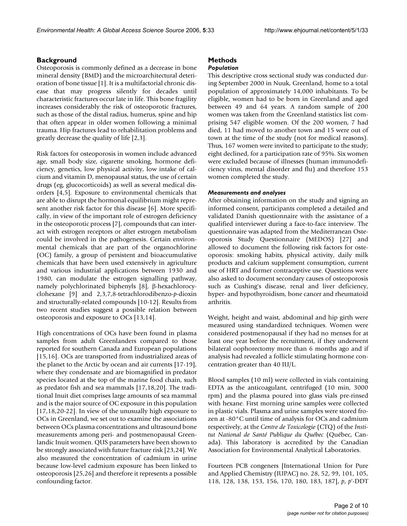# **Background**

Osteoporosis is commonly defined as a decrease in bone mineral density (BMD) and the microarchitectural deterioration of bone tissue [1]. It is a multifactorial chronic disease that may progress silently for decades until characteristic fractures occur late in life. This bone fragility increases considerably the risk of osteoporotic fractures, such as those of the distal radius, humerus, spine and hip that often appear in older women following a minimal trauma. Hip fractures lead to rehabilitation problems and greatly decrease the quality of life [2,3].

Risk factors for osteoporosis in women include advanced age, small body size, cigarette smoking, hormone deficiency, genetics, low physical activity, low intake of calcium and vitamin D, menopausal status, the use of certain drugs (eg, glucocorticoids) as well as several medical disorders [4,5]. Exposure to environmental chemicals that are able to disrupt the hormonal equilibrium might represent another risk factor for this disease [6]. More specifically, in view of the important role of estrogen deficiency in the osteoporotic process [7], compounds that can interact with estrogen receptors or alter estrogen metabolism could be involved in the pathogenesis. Certain environmental chemicals that are part of the organochlorine (OC) family, a group of persistent and bioaccumulative chemicals that have been used extensively in agriculture and various industrial applications between 1930 and 1980, can modulate the estrogen signalling pathway, namely polychlorinated biphenyls [8], β-hexachlorocyclohexane [9] and 2,3,7,8-tetrachlorodibenzo-*p*-dioxin and structurally-related compounds [10-12]. Results from two recent studies suggest a possible relation between osteoporosis and exposure to OCs [13,14].

High concentrations of OCs have been found in plasma samples from adult Greenlanders compared to those reported for southern Canada and European populations [15,16]. OCs are transported from industrialized areas of the planet to the Arctic by ocean and air currents [17-19], where they condensate and are biomagnified in predator species located at the top of the marine food chain, such as predator fish and sea mammals [17,18,20]. The traditional Inuit diet comprises large amounts of sea mammal and is the major source of OC exposure in this population [17,18,20-22]. In view of the unusually high exposure to OCs in Greenland, we set out to examine the associations between OCs plasma concentrations and ultrasound bone measurements among peri- and postmenopausal Greenlandic Inuit women. QUS parameters have been shown to be strongly associated with future fracture risk [23,24]. We also measured the concentration of cadmium in urine because low-level cadmium exposure has been linked to osteoporosis [25,26] and therefore it represents a possible confounding factor.

# **Methods**

# *Population*

This descriptive cross sectional study was conducted during September 2000 in Nuuk, Greenland, home to a total population of approximately 14,000 inhabitants. To be eligible, women had to be born in Greenland and aged between 49 and 64 years. A random sample of 200 women was taken from the Greenland statistics list comprising 547 eligible women. Of the 200 women, 7 had died, 11 had moved to another town and 15 were out of town at the time of the study (not for medical reasons). Thus, 167 women were invited to participate to the study; eight declined, for a participation rate of 95%. Six women were excluded because of illnesses (human immunodeficiency virus, mental disorder and flu) and therefore 153 women completed the study.

# *Measurements and analyses*

After obtaining information on the study and signing an informed consent, participants completed a detailed and validated Danish questionnaire with the assistance of a qualified interviewer during a face-to-face interview. The questionnaire was adapted from the Mediterranean Osteoporosis Study Questionnaire (MEDOS) [27] and allowed to document the following risk factors for osteoporosis: smoking habits, physical activity, daily milk products and calcium supplement consumption, current use of HRT and former contraceptive use. Questions were also asked to document secondary causes of osteoporosis such as Cushing's disease, renal and liver deficiency, hyper- and hypothyroidism, bone cancer and rheumatoid arthritis.

Weight, height and waist, abdominal and hip girth were measured using standardized techniques. Women were considered postmenopausal if they had no menses for at least one year before the recruitment, if they underwent bilateral oophorectomy more than 6 months ago and if analysis had revealed a follicle stimulating hormone concentration greater than 40 IU/L.

Blood samples (10 ml) were collected in vials containing EDTA as the anticoagulant, centrifuged (10 min, 3000 rpm) and the plasma poured into glass vials pre-rinsed with hexane. First morning urine samples were collected in plastic vials. Plasma and urine samples were stored frozen at -80°C until time of analysis for OCs and cadmium respectively, at the *Centre de Toxicologie* (CTQ) of the *Institut National de Santé Publique du Québec* (Québec, Canada). This laboratory is accredited by the Canadian Association for Environmental Analytical Laboratories.

Fourteen PCB congeners [International Union for Pure and Applied Chemistry (IUPAC) no. 28, 52, 99, 101, 105, 118, 128, 138, 153, 156, 170, 180, 183, 187], *p*, *p*'-DDT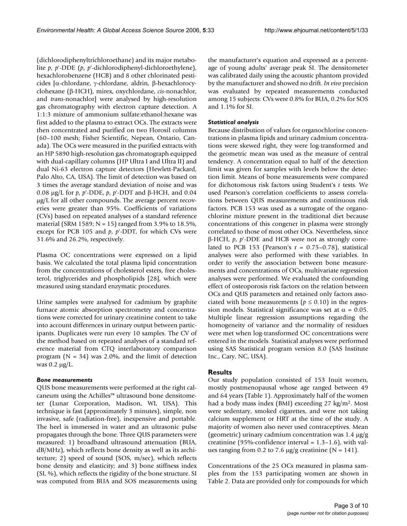(dichlorodiphenyltrichloroethane) and its major metabolite *p*, *p*'-DDE (*p*, *p*'-dichlorodiphenyl-dichloroethylene), hexachlorobenzene (HCB) and 8 other chlorinated pesticides [α-chlordane, γ-chlordane, aldrin, β-hexachlorocyclohexane (β-HCH), mirex, oxychlordane, *cis*-nonachlor, and *trans*-nonachlor] were analysed by high-resolution gas chromatography with electron capture detection. A 1:1:3 mixture of ammonium sulfate:ethanol:hexane was first added to the plasma to extract OCs. The extracts were then concentrated and purified on two Florosil columns (60–100 mesh; Fisher Scientific, Nepean, Ontario, Canada). The OCs were measured in the purified extracts with an HP 5890 high-resolution gas chromatograph equipped with dual-capillary columns (HP Ultra I and Ultra II) and dual Ni-63 electron capture detectors (Hewlett-Packard, Palo Alto, CA, USA). The limit of detection was based on 3 times the average standard deviation of noise and was 0.08 μg/L for *p*, *p*'-DDE, *p*, *p*'-DDT and β-HCH, and 0.04 μg/L for all other compounds. The average percent recoveries were greater than 95%. Coefficients of variations (CVs) based on repeated analyses of a standard reference material (SRM 1589; N = 15) ranged from 3.9% to 18.5%, except for PCB 105 and *p*, *p*'-DDT, for which CVs were 31.6% and 26.2%, respectively.

Plasma OC concentrations were expressed on a lipid basis. We calculated the total plasma lipid concentration from the concentrations of cholesterol esters, free cholesterol, triglycerides and phospholipids [28], which were measured using standard enzymatic procedures.

Urine samples were analysed for cadmium by graphite furnace atomic absorption spectrometry and concentrations were corrected for urinary creatinine content to take into account differences in urinary output between participants. Duplicates were run every 10 samples. The CV of the method based on repeated analyses of a standard reference material from CTQ interlaboratory comparison program ( $N = 34$ ) was 2.0%, and the limit of detection was 0.2 μg/L.

## *Bone measurements*

QUS bone measurements were performed at the right calcaneum using the Achilles™ ultrasound bone densitometer (Lunar Corporation, Madison, WI, USA). This technique is fast (approximately 3 minutes), simple, non invasive, safe (radiation-free), inexpensive and portable. The heel is immersed in water and an ultrasonic pulse propagates through the bone. Three QUS parameters were measured: 1) broadband ultrasound attenuation (BUA, dB/MHz), which reflects bone density as well as its architecture; 2) speed of sound (SOS, m/sec), which reflects bone density and elasticity; and 3) bone stiffness index (SI, %), which reflects the rigidity of the bone structure. SI was computed from BUA and SOS measurements using the manufacturer's equation and expressed as a percentage of young adults' average peak SI. The densitometer was calibrated daily using the acoustic phantom provided by the manufacturer and showed no drift. *In vivo* precision was evaluated by repeated measurements conducted among 15 subjects: CVs were 0.8% for BUA, 0.2% for SOS and 1.1% for SI.

# *Statistical analysis*

Because distribution of values for organochlorine concentrations in plasma lipids and urinary cadmium concentrations were skewed right, they were log-transformed and the geometric mean was used as the measure of central tendency. A concentration equal to half of the detection limit was given for samples with levels below the detection limit. Means of bone measurements were compared for dichotomous risk factors using Student's *t* tests. We used Pearson's correlation coefficients to assess correlations between QUS measurements and continuous risk factors. PCB 153 was used as a surrogate of the organochlorine mixture present in the traditional diet because concentrations of this congener in plasma were strongly correlated to those of most other OCs. Nevertheless, since β-HCH, *p*, *p*'-DDE and HCB were not as strongly correlated to PCB 153 (Pearson's  $r = 0.75-0.78$ ), statistical analyses were also performed with these variables. In order to verify the association between bone measurements and concentrations of OCs, multivariate regression analyses were performed. We evaluated the confounding effect of osteoporosis risk factors on the relation between OCs and QUS parameters and retained only factors associated with bone measurements ( $p \le 0.10$ ) in the regression models. Statistical significance was set at  $\alpha = 0.05$ . Multiple linear regression assumptions regarding the homogeneity of variance and the normality of residues were met when log-transformed OC concentrations were entered in the models. Statistical analyses were performed using SAS Statistical program version 8.0 (SAS Institute Inc., Cary, NC, USA).

# **Results**

Our study population consisted of 153 Inuit women, mostly postmenopausal whose age ranged between 49 and 64 years (Table 1). Approximately half of the women had a body mass index (BMI) exceeding 27 kg/m2. Most were sedentary, smoked cigarettes, and were not taking calcium supplement or HRT at the time of the study. A majority of women also never used contraceptives. Mean (geometric) urinary cadmium concentration was 1.4 μg/g creatinine (95%-confidence interval =  $1.3-1.6$ ), with values ranging from 0.2 to 7.6  $\mu$ g/g creatinine (N = 141).

Concentrations of the 25 OCs measured in plasma samples from the 153 participating women are shown in Table 2. Data are provided only for compounds for which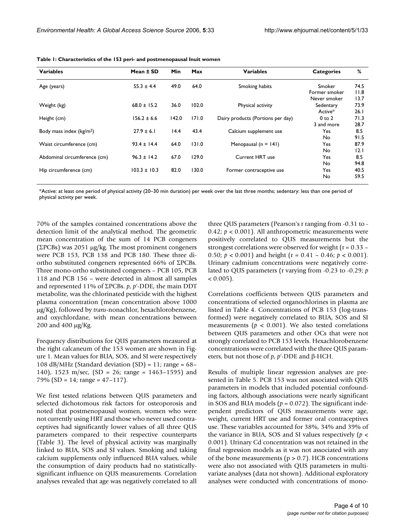| <b>Variables</b>             | Mean ± SD        | Min   | Max   | <b>Variables</b>                  | <b>Categories</b> | %    |
|------------------------------|------------------|-------|-------|-----------------------------------|-------------------|------|
| Age (years)                  | $55.3 \pm 4.4$   | 49.0  | 64.0  | Smoking habits                    | Smoker            | 74.5 |
|                              |                  |       |       |                                   | Former smoker     | 11.8 |
|                              |                  |       |       |                                   | Never smoker      | 13.7 |
| Weight (kg)                  | $68.0 \pm 15.2$  | 36.0  | 102.0 | Physical activity                 | Sedentary         | 73.9 |
|                              |                  |       |       |                                   | Active*           | 26.1 |
| Height (cm)                  | $156.2 \pm 6.6$  | 142.0 | 171.0 | Dairy products (Portions per day) | $0$ to $2$        | 71.3 |
|                              |                  |       |       |                                   | 3 and more        | 28.7 |
| Body mass index $(kg/m2)$    | $27.9 \pm 6.1$   | 14.4  | 43.4  | Calcium supplement use            | Yes.              | 8.5  |
|                              |                  |       |       |                                   | No.               | 91.5 |
| Waist circumference (cm)     | $93.4 \pm 14.4$  | 64.0  | 131.0 | Menopausal $(n = 141)$            | Yes.              | 87.9 |
|                              |                  |       |       |                                   | No.               | 2.1  |
| Abdominal circumference (cm) | $96.3 \pm 14.2$  | 67.0  | 129.0 | Current HRT use                   | Yes.              | 8.5  |
|                              |                  |       |       |                                   | No.               | 94.8 |
| Hip circumference (cm)       | $103.3 \pm 10.3$ | 82.0  | 130.0 | Former contraceptive use          | <b>Yes</b>        | 40.5 |
|                              |                  |       |       |                                   | No                | 59.5 |

**Table 1: Characteristics of the 153 peri- and postmenopausal Inuit women**

\*Active: at least one period of physical activity (20–30 min duration) per week over the last three months; sedentary: less than one period of physical activity per week.

70% of the samples contained concentrations above the detection limit of the analytical method. The geometric mean concentration of the sum of 14 PCB congeners (ΣPCBs) was 2051 μg/kg. The most prominent congeners were PCB 153, PCB 138 and PCB 180. These three diortho substituted congeners represented 66% of ΣPCBs. Three mono-ortho substituted congeners – PCB 105, PCB 118 and PCB 156 – were detected in almost all samples and represented 11% of ΣPCBs. *p*, *p*'-DDE, the main DDT metabolite, was the chlorinated pesticide with the highest plasma concentration (mean concentration above 1000 μg/Kg), followed by *trans*-nonachlor, hexachlorobenzene, and oxychlordane, with mean concentrations between 200 and 400 μg/Kg.

Frequency distributions for QUS parameters measured at the right calcaneum of the 153 women are shown in Figure 1. Mean values for BUA, SOS, and SI were respectively 108 dB/MHz (Standard deviation  $(SD) = 11$ ; range = 68– 140), 1523 m/sec, (SD = 26; range = 1463–1595) and 79% (SD = 14; range =  $47-117$ ).

We first tested relations between QUS parameters and selected dichotomous risk factors for osteoporosis and noted that postmenopausal women, women who were not currently using HRT and those who never used contraceptives had significantly lower values of all three QUS parameters compared to their respective counterparts (Table 3). The level of physical activity was marginally linked to BUA, SOS and SI values. Smoking and taking calcium supplements only influenced BUA values, while the consumption of dairy products had no statisticallysignificant influence on QUS measurements. Correlation analyses revealed that age was negatively correlated to all

three QUS parameters (Pearson's r ranging from -0.31 to - 0.42;  $p < 0.001$ ). All anthropometric measurements were positively correlated to QUS measurements but the strongest correlations were observed for weight (r = 0.33 – 0.50; *p* < 0.001) and height (r = 0.41 – 0.46; *p* < 0.001). Urinary cadmium concentrations were negatively correlated to QUS parameters (r varying from -0.23 to -0.29; *p*  $< 0.005$ ).

Correlations coefficients between QUS parameters and concentrations of selected organochlorines in plasma are listed in Table 4. Concentrations of PCB 153 (log-transformed) were negatively correlated to BUA, SOS and SI measurements ( $p < 0.001$ ). We also tested correlations between QUS parameters and other OCs that were not strongly correlated to PCB 153 levels. Hexachlorobenzene concentrations were correlated with the three QUS parameters, but not those of *p*, *p*'-DDE and β-HCH.

Results of multiple linear regression analyses are presented in Table 5. PCB 153 was not associated with QUS parameters in models that included potential confounding factors, although associations were nearly significant in SOS and BUA models ( $p = 0.072$ ). The significant independent predictors of QUS measurements were age, weight, current HRT use and former oral contraceptives use. These variables accounted for 38%, 34% and 39% of the variance in BUA, SOS and SI values respectively (*p* < 0.001). Urinary Cd concentration was not retained in the final regression models as it was not associated with any of the bone measurements ( $p > 0.7$ ). HCB concentrations were also not associated with QUS parameters in multivariate analyses (data not shown). Additional exploratory analyses were conducted with concentrations of mono-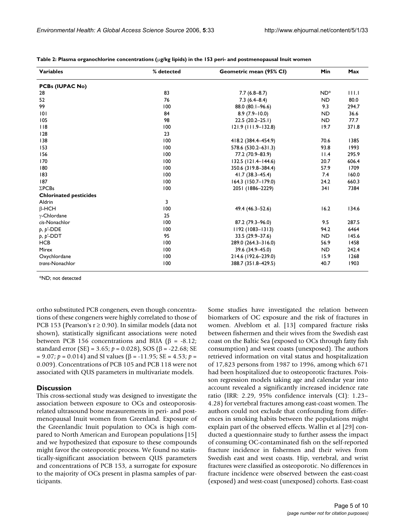| <b>Variables</b>              | % detected | Geometric mean (95% CI) | Min             | Max   |
|-------------------------------|------------|-------------------------|-----------------|-------|
| <b>PCBs (IUPAC No)</b>        |            |                         |                 |       |
| 28                            | 83         | $7.7(6.8 - 8.7)$        | ND <sup>*</sup> | 111.1 |
| 52                            | 76         | $7.3(6.4 - 8.4)$        | <b>ND</b>       | 80.0  |
| 99                            | 100        | 88.0 (80.1-96.6)        | 9.3             | 294.7 |
| 0                             | 84         | $8.9(7.9 - 10.0)$       | <b>ND</b>       | 36.6  |
| 105                           | 98         | $22.5(20.2-25.1)$       | <b>ND</b>       | 77.7  |
| $ $ $ $ 8                     | 100        | $121.9$ (111.9–132.8)   | 19.7            | 371.8 |
| 128                           | 23         |                         |                 |       |
| 138                           | 100        | 418.2 (384.4-454.9)     | 70.6            | 1385  |
| 153                           | 100        | 578.6 (530.2-631.3)     | 93.8            | 1993  |
| 156                           | 100        | 77.2 (70.9-83.9)        | 11.4            | 295.9 |
| 170                           | 100        | $132.5$ (121.4–144.6)   | 20.7            | 606.4 |
| 180                           | 100        | 350.6 (319.8-384.4)     | 57.9            | 1709  |
| 183                           | 100        | $41.7(38.3 - 45.4)$     | 7.4             | 160.0 |
| 187                           | 100        | 164.3 (150.7-179.0)     | 24.2            | 660.3 |
| $\Sigma$ PCBs                 | 100        | 2051 (1886-2229)        | 341             | 7384  |
| <b>Chlorinated pesticides</b> |            |                         |                 |       |
| Aldrin                        | 3          |                         |                 |       |
| $\beta$ -HCH                  | 100        | 49.4 (46.3-52.6)        | 16.2            | 134.6 |
| $\gamma$ -Chlordane           | 25         |                         |                 |       |
| cis-Nonachlor                 | 100        | 87.2 (79.3-96.0)        | 9.5             | 287.5 |
| $p, p'$ -DDE                  | 100        | 1192 (1083-1313)        | 94.2            | 6464  |
| $p, p'$ -DDT                  | 95         | 33.5 (29.9-37.6)        | <b>ND</b>       | 145.6 |
| <b>HCB</b>                    | 100        | 289.0 (264.3-316.0)     | 56.9            | 1458  |
| Mirex                         | 100        | 39.6 (34.9-45.0)        | <b>ND</b>       | 242.4 |
| Oxychlordane                  | 100        | 214.6 (192.6-239.0)     | 15.9            | 1268  |
| trans-Nonachlor               | 100        | 388.7 (351.8-429.5)     | 40.7            | 1903  |

**Table 2: Plasma organochlorine concentrations (**μ**g/kg lipids) in the 153 peri- and postmenopausal Inuit women**

\*ND; not detected

ortho substituted PCB congeners, even though concentrations of these congeners were highly correlated to those of PCB 153 (Pearson's  $r \ge 0.90$ ). In similar models (data not shown), statistically significant associations were noted between PCB 156 concentrations and BUA (β = -8.12; standard error (SE) = 3.65;  $p = 0.028$ ), SOS (β = -22.68; SE = 9.07; *p* = 0.014) and SI values (β = -11.95; SE = 4.53; *p* = 0.009). Concentrations of PCB 105 and PCB 118 were not associated with QUS parameters in multivariate models.

## **Discussion**

This cross-sectional study was designed to investigate the association between exposure to OCs and osteoporosisrelated ultrasound bone measurements in peri- and postmenopausal Inuit women from Greenland. Exposure of the Greenlandic Inuit population to OCs is high compared to North American and European populations [15] and we hypothesized that exposure to these compounds might favor the osteoporotic process. We found no statistically-significant association between QUS parameters and concentrations of PCB 153, a surrogate for exposure to the majority of OCs present in plasma samples of participants.

Some studies have investigated the relation between biomarkers of OC exposure and the risk of fractures in women. Alveblom et al. [13] compared fracture risks between fishermen and their wives from the Swedish east coast on the Baltic Sea (exposed to OCs through fatty fish consumption) and west coasts (unexposed). The authors retrieved information on vital status and hospitalization of 17,823 persons from 1987 to 1996, among which 671 had been hospitalized due to osteoporotic fractures. Poisson regression models taking age and calendar year into account revealed a significantly increased incidence rate ratio (IRR: 2.29, 95% confidence intervals (CI): 1.23– 4.28) for vertebral fractures among east-coast women. The authors could not exclude that confounding from differences in smoking habits between the populations might explain part of the observed effects. Wallin et al [29] conducted a questionnaire study to further assess the impact of consuming OC-contaminated fish on the self-reported fracture incidence in fishermen and their wives from Swedish east and west coasts. Hip, vertebral, and wrist fractures were classified as osteoporotic. No differences in fracture incidence were observed between the east-coast (exposed) and west-coast (unexposed) cohorts. East-coast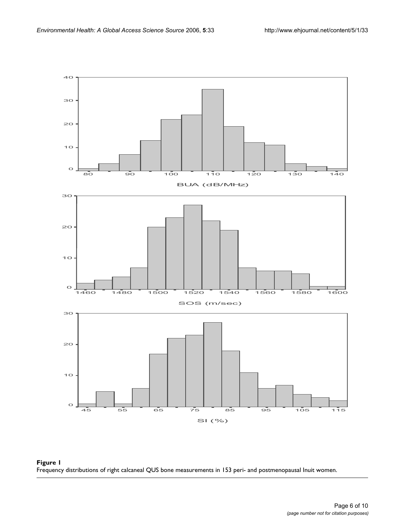

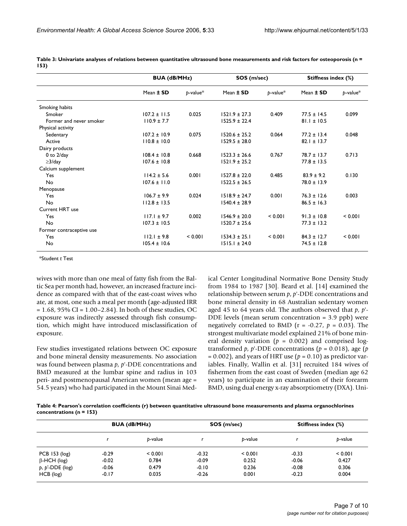|                          |                  | <b>BUA (dB/MHz)</b> |                   | SOS (m/sec)    |                 | Stiffness index (%) |  |
|--------------------------|------------------|---------------------|-------------------|----------------|-----------------|---------------------|--|
|                          | Mean ± SD        | $p$ -value $*$      | Mean ± SD         | $b$ -value $*$ | Mean ± SD       | $p$ -value*         |  |
| Smoking habits           |                  |                     |                   |                |                 |                     |  |
| Smoker                   | $107.2 \pm 11.5$ | 0.025               | $1521.9 \pm 27.3$ | 0.409          | $77.5 \pm 14.5$ | 0.099               |  |
| Former and never smoker  | $110.9 \pm 7.7$  |                     | $1525.9 \pm 22.4$ |                | $81.1 \pm 10.5$ |                     |  |
| Physical activity        |                  |                     |                   |                |                 |                     |  |
| Sedentary                | $107.2 \pm 10.9$ | 0.075               | $1520.6 \pm 25.2$ | 0.064          | $77.2 \pm 13.4$ | 0.048               |  |
| Active                   | $110.8 \pm 10.0$ |                     | $1529.5 \pm 28.0$ |                | $82.1 \pm 13.7$ |                     |  |
| Dairy products           |                  |                     |                   |                |                 |                     |  |
| $0$ to $2$ /day          | $108.4 \pm 10.8$ | 0.668               | $1523.3 \pm 26.6$ | 0.767          | $78.7 \pm 13.7$ | 0.713               |  |
| $\geq$ 3/day             | $107.6 \pm 10.8$ |                     | $1521.9 \pm 25.2$ |                | $77.8 \pm 13.5$ |                     |  |
| Calcium supplement       |                  |                     |                   |                |                 |                     |  |
| Yes                      | $114.2 \pm 5.6$  | 0.001               | $1527.8 \pm 22.0$ | 0.485          | $83.9 \pm 9.2$  | 0.130               |  |
| No                       | $107.6 \pm 11.0$ |                     | $1522.5 \pm 26.5$ |                | $78.0 \pm 13.9$ |                     |  |
| Menopause                |                  |                     |                   |                |                 |                     |  |
| Yes                      | $106.7 \pm 9.9$  | 0.024               | $1518.9 \pm 24.7$ | 0.001          | $76.3 \pm 12.6$ | 0.003               |  |
| No                       | $112.8 \pm 13.5$ |                     | $1540.4 \pm 28.9$ |                | $86.5 \pm 16.3$ |                     |  |
| Current HRT use          |                  |                     |                   |                |                 |                     |  |
| Yes                      | $117.1 \pm 9.7$  | 0.002               | $1546.9 \pm 20.0$ | < 0.001        | $91.3 \pm 10.8$ | < 0.001             |  |
| No                       | $107.3 \pm 10.5$ |                     | $1520.7 \pm 25.6$ |                | $77.3 \pm 13.2$ |                     |  |
| Former contraceptive use |                  |                     |                   |                |                 |                     |  |
| Yes                      | $112.1 \pm 9.8$  | < 0.001             | $1534.3 \pm 25.1$ | < 0.001        | $84.3 \pm 12.7$ | < 0.001             |  |
| No                       | $105.4 \pm 10.6$ |                     | $1515.1 \pm 24.0$ |                | $74.5 \pm 12.8$ |                     |  |

**Table 3: Univariate analyses of relations between quantitative ultrasound bone measurements and risk factors for osteoporosis (n = 153)**

\*Student *t* Test

wives with more than one meal of fatty fish from the Baltic Sea per month had, however, an increased fracture incidence as compared with that of the east-coast wives who ate, at most, one such a meal per month (age-adjusted IRR  $= 1.68$ , 95% CI = 1.00–2.84). In both of these studies, OC exposure was indirectly assessed through fish consumption, which might have introduced misclassification of exposure.

Few studies investigated relations between OC exposure and bone mineral density measurements. No association was found between plasma *p*, *p*'-DDE concentrations and BMD measured at the lumbar spine and radius in 103 peri- and postmenopausal American women (mean age = 54.5 years) who had participated in the Mount Sinai Medical Center Longitudinal Normative Bone Density Study from 1984 to 1987 [30]. Beard et al. [14] examined the relationship between serum *p*, *p*'-DDE concentrations and bone mineral density in 68 Australian sedentary women aged 45 to 64 years old. The authors observed that *p*, *p*'- DDE levels (mean serum concentration = 3.9 ppb) were negatively correlated to BMD ( $r = -0.27$ ,  $p = 0.03$ ). The strongest multivariate model explained 21% of bone mineral density variation ( $p = 0.002$ ) and comprised logtransformed  $p$ ,  $p'$ -DDE concentrations ( $p = 0.018$ ), age ( $p$  $= 0.002$ ), and years of HRT use ( $p = 0.10$ ) as predictor variables. Finally, Wallin et al. [31] recruited 184 wives of fishermen from the east coast of Sweden (median age 62 years) to participate in an examination of their forearm BMD, using dual energy x-ray absorptiometry (DXA). Uni-

**Table 4: Pearson's correlation coefficients (r) between quantitative ultrasound bone measurements and plasma organochlorines concentrations (n = 153)**

|                     | <b>BUA (dB/MHz)</b> |         |         | SOS (m/sec) | <b>Stiffness index (%)</b> |         |  |
|---------------------|---------------------|---------|---------|-------------|----------------------------|---------|--|
|                     |                     | b-value |         | b-value     |                            | p-value |  |
| PCB $153$ ( $log$ ) | $-0.29$             | < 0.001 | $-0.32$ | < 0.001     | $-0.33$                    | < 0.001 |  |
| $\beta$ -HCH (log)  | $-0.02$             | 0.784   | $-0.09$ | 0.252       | $-0.06$                    | 0.427   |  |
| $p, p'$ -DDE (log)  | $-0.06$             | 0.479   | $-0.10$ | 0.236       | $-0.08$                    | 0.306   |  |
| HCB (log)           | $-0.17$             | 0.035   | $-0.26$ | 0.001       | $-0.23$                    | 0.004   |  |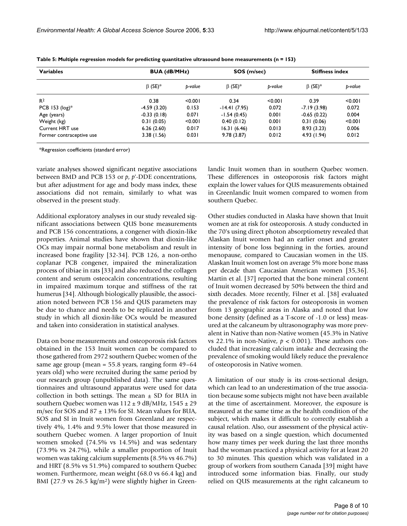| <b>Variables</b>         | <b>BUA (dB/MHz)</b>       |         | SOS (m/sec)   |         | <b>Stiffness index</b>    |         |
|--------------------------|---------------------------|---------|---------------|---------|---------------------------|---------|
|                          | $\beta$ (SE) <sup>*</sup> | b-value | $\beta$ (SE)* | b-value | $\beta$ (SE) <sup>*</sup> | p-value |
| R <sup>2</sup>           | 0.38                      | < 0.001 | 0.34          | < 0.001 | 0.39                      | < 0.001 |
| PCB 153 $(log)*$         | $-4.59(3.20)$             | 0.153   | -14.41 (7.95) | 0.072   | $-7.19(3.98)$             | 0.072   |
| Age (years)              | $-0.33(0.18)$             | 0.071   | $-1.54(0.45)$ | 0.001   | $-0.65(0.22)$             | 0.004   |
| Weight (kg)              | 0.31(0.05)                | < 0.001 | 0.40(0.12)    | 0.001   | 0.31(0.06)                | < 0.001 |
| Current HRT use          | 6.26(2.60)                | 0.017   | 16.31(6.46)   | 0.013   | 8.93(3.23)                | 0.006   |
| Former contraceptive use | 3.38(1.56)                | 0.031   | 9.78(3.87)    | 0.012   | 4.93(1.94)                | 0.012   |

**Table 5: Multiple regression models for predicting quantitative ultrasound bone measurements (n = 153)**

\*Regression coefficients (standard error)

variate analyses showed significant negative associations between BMD and PCB 153 or *p*, *p*'-DDE concentrations, but after adjustment for age and body mass index, these associations did not remain, similarly to what was observed in the present study.

Additional exploratory analyses in our study revealed significant associations between QUS bone measurements and PCB 156 concentrations, a congener with dioxin-like properties. Animal studies have shown that dioxin-like OCs may impair normal bone metabolism and result in increased bone fragility [32-34]. PCB 126, a non-ortho coplanar PCB congener, impaired the mineralization process of tibiae in rats [33] and also reduced the collagen content and serum osteocalcin concentrations, resulting in impaired maximum torque and stiffness of the rat humerus [34]. Although biologically plausible, the association noted between PCB 156 and QUS parameters may be due to chance and needs to be replicated in another study in which all dioxin-like OCs would be measured and taken into consideration in statistical analyses.

Data on bone measurements and osteoporosis risk factors obtained in the 153 Inuit women can be compared to those gathered from 2972 southern Quebec women of the same age group (mean =  $55.8$  years, ranging form  $49-64$ years old) who were recruited during the same period by our research group (unpublished data). The same questionnaires and ultrasound apparatus were used for data collection in both settings. The mean  $\pm$  SD for BUA in southern Quebec women was  $112 \pm 9$  dB/MHz,  $1545 \pm 29$ m/sec for SOS and  $87 \pm 13\%$  for SI. Mean values for BUA, SOS and SI in Inuit women from Greenland are respectively 4%, 1.4% and 9.5% lower that those measured in southern Quebec women. A larger proportion of Inuit women smoked (74.5% vs 14.5%) and was sedentary (73.9% vs 24.7%), while a smaller proportion of Inuit women was taking calcium supplements (8.5% vs 46.7%) and HRT (8.5% vs 51.9%) compared to southern Quebec women. Furthermore, mean weight (68.0 vs 66.4 kg) and BMI (27.9 vs 26.5 kg/m<sup>2</sup>) were slightly higher in Greenlandic Inuit women than in southern Quebec women. These differences in osteoporosis risk factors might explain the lower values for QUS measurements obtained in Greenlandic Inuit women compared to women from southern Quebec.

Other studies conducted in Alaska have shown that Inuit women are at risk for osteoporosis. A study conducted in the 70's using direct photon absorptiometry revealed that Alaskan Inuit women had an earlier onset and greater intensity of bone loss beginning in the forties, around menopause, compared to Caucasian women in the US. Alaskan Inuit women lost on average 5% more bone mass per decade than Caucasian American women [35,36]. Martin et al. [37] reported that the bone mineral content of Inuit women decreased by 50% between the third and sixth decades. More recently, Filner et al. [38] evaluated the prevalence of risk factors for osteoporosis in women from 13 geographic areas in Alaska and noted that low bone density (defined as a T-score of -1.0 or less) measured at the calcaneum by ultrasonography was more prevalent in Native than non-Native women (45.3% in Native vs 22.1% in non-Native,  $p < 0.001$ ). These authors concluded that increasing calcium intake and decreasing the prevalence of smoking would likely reduce the prevalence of osteoporosis in Native women.

A limitation of our study is its cross-sectional design, which can lead to an underestimation of the true association because some subjects might not have been available at the time of ascertainment. Moreover, the exposure is measured at the same time as the health condition of the subject, which makes it difficult to correctly establish a causal relation. Also, our assessment of the physical activity was based on a single question, which documented how many times per week during the last three months had the woman practiced a physical activity for at least 20 to 30 minutes. This question which was validated in a group of workers from southern Canada [39] might have introduced some information bias. Finally, our study relied on QUS measurements at the right calcaneum to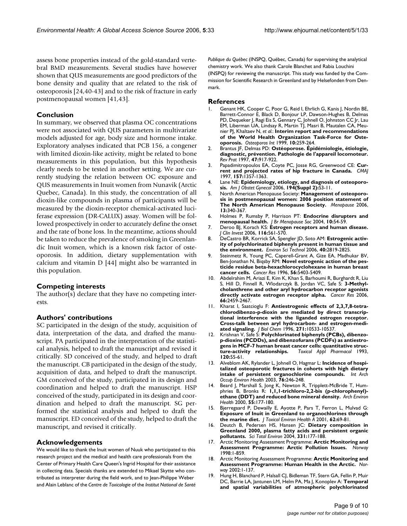assess bone properties instead of the gold-standard vertebral BMD measurements. Several studies have however shown that QUS measurements are good predictors of the bone density and quality that are related to the risk of osteoporosis [24,40-43] and to the risk of fracture in early postmenopausal women [41,43].

# **Conclusion**

In summary, we observed that plasma OC concentrations were not associated with QUS parameters in multivariate models adjusted for age, body size and hormone intake. Exploratory analyses indicated that PCB 156, a congener with limited dioxin-like activity, might be related to bone measurements in this population, but this hypothesis clearly needs to be tested in another setting. We are currently studying the relation between OC exposure and QUS measurements in Inuit women from Nunavik (Arctic Quebec, Canada). In this study, the concentration of all dioxin-like compounds in plasma of participants will be measured by the dioxin-receptor chemical-activated luciferase expression (DR-CALUX) assay. Women will be followed prospectively in order to accurately define the onset and the rate of bone loss. In the meantime, actions should be taken to reduce the prevalence of smoking in Greenlandic Inuit women, which is a known risk factor of osteoporosis. In addition, dietary supplementation with calcium and vitamin D [44] might also be warranted in this population.

## **Competing interests**

The author(s) declare that they have no competing interests.

## **Authors' contributions**

SC participated in the design of the study, acquisition of data, interpretation of the data, and drafted the manuscript. PA participated in the interpretation of the statistical analysis, helped to draft the manuscript and revised it critically. SD conceived of the study, and helped to draft the manuscript. CB participated in the design of the study, acquisition of data, and helped to draft the manuscript. GM conceived of the study, participated in its design and coordination and helped to draft the manuscript. HSP conceived of the study, participated in its design and coordination and helped to draft the manuscript. SG performed the statistical analysis and helped to draft the manuscript. ED conceived of the study, helped to draft the manuscript, and revised it critically.

## **Acknowledgements**

We would like to thank the Inuit women of Nuuk who participated to this research project and the medical and health care professionals from the Center of Primary Health Care Queen's Ingrid Hospital for their assistance in collecting data. Specials thanks are extended to Mikael Skytte who contributed as interpreter during the field work, and to Jean-Philippe Weber and Alain Leblanc of the *Centre de Toxicologie* of the *Institut National de Santé* 

*Publique du Québec* (INSPQ, Québec, Canada) for supervising the analytical chemistry work. We also thank Carole Blanchet and Rabia Louchini (INSPQ) for reviewing the manuscript. This study was funded by the Commission for Scientific Research in Greenland and by Helsefonden from Denmark.

#### **References**

- 1. Genant HK, Cooper C, Poor G, Reid I, Ehrlich G, Kanis J, Nordin BE, Barrett-Connor E, Black D, Bonjour LP, Dawson-Hughes B, Delmas PD, Dequeker J, Ragi Eis S, Gennary C, Johnell O, Johnston CC Jr, Lau EM, Liberman UA, Lindsay R, Martin TJ, Masri B, Mautalen CA, Meunier PJ, Khaltaev N, *et al.*: **[Interim report and recommendations](http://www.ncbi.nlm.nih.gov/entrez/query.fcgi?cmd=Retrieve&db=PubMed&dopt=Abstract&list_uids=10692972) [of the World Health Organization Task-Force for Oste](http://www.ncbi.nlm.nih.gov/entrez/query.fcgi?cmd=Retrieve&db=PubMed&dopt=Abstract&list_uids=10692972)[oporosis.](http://www.ncbi.nlm.nih.gov/entrez/query.fcgi?cmd=Retrieve&db=PubMed&dopt=Abstract&list_uids=10692972)** *Osteoporos Int* 1999, **10:**259-264.
- 2. Brantus JF, Delmas PD: **[Ostéoporose. Épidémiologie, étiologie,](http://www.ncbi.nlm.nih.gov/entrez/query.fcgi?cmd=Retrieve&db=PubMed&dopt=Abstract&list_uids=9183972) [diagnostic, prévention. Pathologie de l'appareil locomoteur.](http://www.ncbi.nlm.nih.gov/entrez/query.fcgi?cmd=Retrieve&db=PubMed&dopt=Abstract&list_uids=9183972)** *Rev Prat* 1997, **47:**917-922.
- 3. Papadimitropoulos EA, Coyte PC, Josse RG, Greenwood CE: **[Cur](http://www.ncbi.nlm.nih.gov/entrez/query.fcgi?cmd=Retrieve&db=PubMed&dopt=Abstract&list_uids=9371065)[rent and projected rates of hip fracture in Canada.](http://www.ncbi.nlm.nih.gov/entrez/query.fcgi?cmd=Retrieve&db=PubMed&dopt=Abstract&list_uids=9371065)** *CMAJ* 1997, **157:**1357-1363.
- 4. Lane NE: **Epidemiology, etiology, and diagnosis of osteoporosis.** *Am J Obstet Gynecol* 2006, **194(Suppl 2):**S3-11.
- 5. North American Menopause Society: **[Management of osteoporo](http://www.ncbi.nlm.nih.gov/entrez/query.fcgi?cmd=Retrieve&db=PubMed&dopt=Abstract&list_uids=16735931)[sis in postmenopausal women: 2006 position statement of](http://www.ncbi.nlm.nih.gov/entrez/query.fcgi?cmd=Retrieve&db=PubMed&dopt=Abstract&list_uids=16735931) [The North American Menopause Society.](http://www.ncbi.nlm.nih.gov/entrez/query.fcgi?cmd=Retrieve&db=PubMed&dopt=Abstract&list_uids=16735931)** *Menopause* 2006, **13:**340-367.
- 6. Holmes P, Rumsby P, Harrison PT: **[Endocrine disrupters and](http://www.ncbi.nlm.nih.gov/entrez/query.fcgi?cmd=Retrieve&db=PubMed&dopt=Abstract&list_uids=15207025) [menopausal health.](http://www.ncbi.nlm.nih.gov/entrez/query.fcgi?cmd=Retrieve&db=PubMed&dopt=Abstract&list_uids=15207025)** *J Br Menopause Soc* 2004, **10:**54-59.
- 7. Deroo BJ, Korach KS: **[Estrogen receptors and human disease.](http://www.ncbi.nlm.nih.gov/entrez/query.fcgi?cmd=Retrieve&db=PubMed&dopt=Abstract&list_uids=16511588)** *J Clin Invest* 2006, **116:**561-570.
- 8. DeCastro BR, Korrick SA, Spengler JD, Soto AM: **[Estrogenic activ](http://www.ncbi.nlm.nih.gov/entrez/query.fcgi?cmd=Retrieve&db=PubMed&dopt=Abstract&list_uids=16683629)[ity of polychlorinated biphenyls present in human tissue and](http://www.ncbi.nlm.nih.gov/entrez/query.fcgi?cmd=Retrieve&db=PubMed&dopt=Abstract&list_uids=16683629) [the environment.](http://www.ncbi.nlm.nih.gov/entrez/query.fcgi?cmd=Retrieve&db=PubMed&dopt=Abstract&list_uids=16683629)** *Environ Sci Technol* 2006, **40:**2819-2825.
- 9. Steinmetz R, Young PC, Caperell-Grant A, Gize EA, Madhukar BV, Ben-Jonathan N, Biqsby RM: **[Novel estrogenic action of the pes](http://www.ncbi.nlm.nih.gov/entrez/query.fcgi?cmd=Retrieve&db=PubMed&dopt=Abstract&list_uids=8968093)[ticide residue beta-hexachlorocyclohexane in human breast](http://www.ncbi.nlm.nih.gov/entrez/query.fcgi?cmd=Retrieve&db=PubMed&dopt=Abstract&list_uids=8968093) [cancer cells.](http://www.ncbi.nlm.nih.gov/entrez/query.fcgi?cmd=Retrieve&db=PubMed&dopt=Abstract&list_uids=8968093)** *Cancer Res* 1996, **56:**5403-5409.
- 10. Abdelrahim M, Ariazi E, Kim K, Khan S, Barhoumi R, Burghardt R, Liu S, Hill D, Finnell R, Wlodarczyk B, Jordan VC, Safe S: **[3-Methyl](http://www.ncbi.nlm.nih.gov/entrez/query.fcgi?cmd=Retrieve&db=PubMed&dopt=Abstract&list_uids=16489053)[cholanthrene and other aryl hydrocarbon receptor agonists](http://www.ncbi.nlm.nih.gov/entrez/query.fcgi?cmd=Retrieve&db=PubMed&dopt=Abstract&list_uids=16489053) [directly activate estrogen receptor alpha.](http://www.ncbi.nlm.nih.gov/entrez/query.fcgi?cmd=Retrieve&db=PubMed&dopt=Abstract&list_uids=16489053)** *Cancer Res* 2006, **66:**2459-2467.
- 11. Kharat I, Saatcioglu F: **[Antiestrogenic effects of 2,3,7,8-tetra](http://www.ncbi.nlm.nih.gov/entrez/query.fcgi?cmd=Retrieve&db=PubMed&dopt=Abstract&list_uids=8631852)[chlorodibenzo-p-dioxin are mediated by direct transcrip](http://www.ncbi.nlm.nih.gov/entrez/query.fcgi?cmd=Retrieve&db=PubMed&dopt=Abstract&list_uids=8631852)tional interference with the liganded estrogen receptor. Cross-talk between aryl hydrocarbon- and estrogen-medi[ated signaling.](http://www.ncbi.nlm.nih.gov/entrez/query.fcgi?cmd=Retrieve&db=PubMed&dopt=Abstract&list_uids=8631852)** *J Biol Chem* 1996, **271:**10533-10537.
- 12. Krishnan V, Safe S: **[Polychlorinated biphenyls \(PCBs\), dibenzo](http://www.ncbi.nlm.nih.gov/entrez/query.fcgi?cmd=Retrieve&db=PubMed&dopt=Abstract&list_uids=7685553)[p-dioxins \(PCDDs\), and dibenzofurans \(PCDFs\) as antiestro](http://www.ncbi.nlm.nih.gov/entrez/query.fcgi?cmd=Retrieve&db=PubMed&dopt=Abstract&list_uids=7685553)**gens in MCF-7 human breast cancer cells: quantitative struc-<br>ture-activity relationships. Toxicol Appl Pharmacol 1993, **[ture-activity relationships.](http://www.ncbi.nlm.nih.gov/entrez/query.fcgi?cmd=Retrieve&db=PubMed&dopt=Abstract&list_uids=7685553)** *Toxicol Appl Pharmacol* 1993, **120:**55-61.
- 13. Alveblom AK, Rylander L, Johnell O, Hagmar L: **[Incidence of hospi](http://www.ncbi.nlm.nih.gov/entrez/query.fcgi?cmd=Retrieve&db=PubMed&dopt=Abstract&list_uids=12690500)[talized osteoporotic fractures in cohorts with high dietary](http://www.ncbi.nlm.nih.gov/entrez/query.fcgi?cmd=Retrieve&db=PubMed&dopt=Abstract&list_uids=12690500) [intake of persistent organochlorine compounds.](http://www.ncbi.nlm.nih.gov/entrez/query.fcgi?cmd=Retrieve&db=PubMed&dopt=Abstract&list_uids=12690500)** *Int Arch Occup Environ Health* 2003, **76:**246-248.
- 14. Beard J, Marshall S, Jong K, Newton R, Tripplett-McBride T, Humphries B, Bronks R: **[1,1,1-trichloro-2,2-bis \(p-chlorophenyl\)](http://www.ncbi.nlm.nih.gov/entrez/query.fcgi?cmd=Retrieve&db=PubMed&dopt=Abstract&list_uids=10908100) [ethane \(DDT\) and reduced bone mineral density.](http://www.ncbi.nlm.nih.gov/entrez/query.fcgi?cmd=Retrieve&db=PubMed&dopt=Abstract&list_uids=10908100)** *Arch Environ Health* 2000, **55:**177-180.
- 15. Bjerregaard P, Dewailly E, Ayotte P, Pars T, Ferron L, Mulvad G: **[Exposure of Inuit in Greenland to organochlorines through](http://www.ncbi.nlm.nih.gov/entrez/query.fcgi?cmd=Retrieve&db=PubMed&dopt=Abstract&list_uids=11209822) [the marine diet.](http://www.ncbi.nlm.nih.gov/entrez/query.fcgi?cmd=Retrieve&db=PubMed&dopt=Abstract&list_uids=11209822)** *J Toxicol Environ Health A* 2001, **62:**69-81.
- 16. Deutch B, Pedersen HS, Hansen JC: **[Dietary composition in](http://www.ncbi.nlm.nih.gov/entrez/query.fcgi?cmd=Retrieve&db=PubMed&dopt=Abstract&list_uids=15325148) [Greenland 2000, plasma fatty acids and persistent organic](http://www.ncbi.nlm.nih.gov/entrez/query.fcgi?cmd=Retrieve&db=PubMed&dopt=Abstract&list_uids=15325148) [pollutants.](http://www.ncbi.nlm.nih.gov/entrez/query.fcgi?cmd=Retrieve&db=PubMed&dopt=Abstract&list_uids=15325148)** *Sci Total Environ* 2004, **331:**177-188.
- 17. Arctic Monitoring Assessment Programme: **Arctic Monitoring and Assessment Programme: Arctic Pollution Issues.** *Norway* 1998:1-859.
- 18. Arctic Monitoring Assessment Programme: **Arctic Monitoring and Assessment Programme: Human Health in the Arctic.** *Norway* 2002:1-137.
- 19. Hung H, Blanchard P, Halsall CJ, Bidleman TF, Stern GA, Fellin P, Muir DC, Barrie LA, Jantunen LM, Helm PA, Ma J, Konoplev A: **[Temporal](http://www.ncbi.nlm.nih.gov/entrez/query.fcgi?cmd=Retrieve&db=PubMed&dopt=Abstract&list_uids=15866271) [and spatial variabilities of atmospheric polychlorinated](http://www.ncbi.nlm.nih.gov/entrez/query.fcgi?cmd=Retrieve&db=PubMed&dopt=Abstract&list_uids=15866271)**